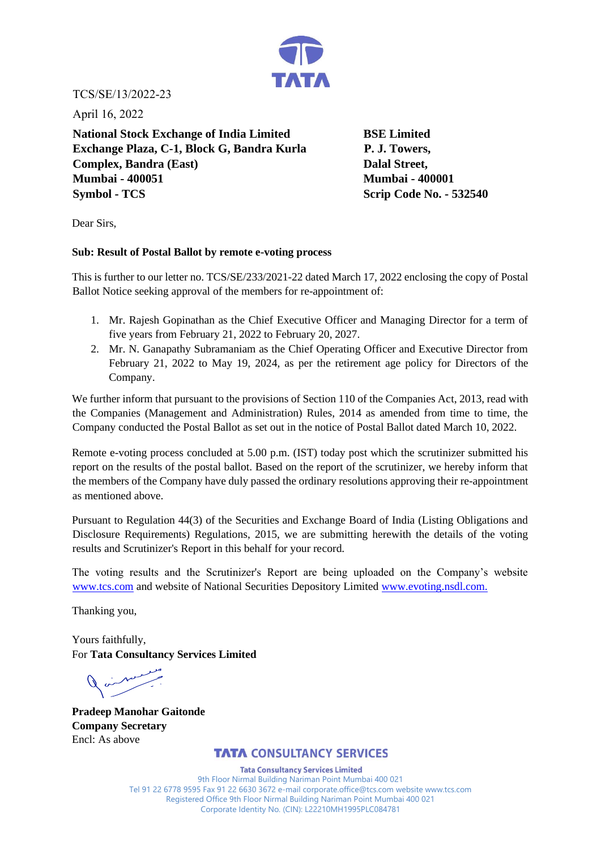

TCS/SE/13/2022-23

April 16, 2022

**National Stock Exchange of India Limited BSE Limited** Exchange Plaza, C-1, Block G, Bandra Kurla P. J. Towers, **Complex, Bandra (East)** Dalal Street, **Mumbai - 400051 Mumbai - 400001 Symbol - TCS** Scrip Code No. - **532540** 

Dear Sirs,

## **Sub: Result of Postal Ballot by remote e-voting process**

This is further to our letter no. TCS/SE/233/2021-22 dated March 17, 2022 enclosing the copy of Postal Ballot Notice seeking approval of the members for re-appointment of:

- 1. Mr. Rajesh Gopinathan as the Chief Executive Officer and Managing Director for a term of five years from February 21, 2022 to February 20, 2027.
- 2. Mr. N. Ganapathy Subramaniam as the Chief Operating Officer and Executive Director from February 21, 2022 to May 19, 2024, as per the retirement age policy for Directors of the Company.

We further inform that pursuant to the provisions of Section 110 of the Companies Act, 2013, read with the Companies (Management and Administration) Rules, 2014 as amended from time to time, the Company conducted the Postal Ballot as set out in the notice of Postal Ballot dated March 10, 2022.

Remote e-voting process concluded at 5.00 p.m. (IST) today post which the scrutinizer submitted his report on the results of the postal ballot. Based on the report of the scrutinizer, we hereby inform that the members of the Company have duly passed the ordinary resolutions approving their re-appointment as mentioned above.

Pursuant to Regulation 44(3) of the Securities and Exchange Board of India (Listing Obligations and Disclosure Requirements) Regulations, 2015, we are submitting herewith the details of the voting results and Scrutinizer's Report in this behalf for your record.

The voting results and the Scrutinizer's Report are being uploaded on the Company's website www.tcs.com and website of National Securities Depository Limited www.evoting.nsdl.com.

Thanking you,

Yours faithfully, For **Tata Consultancy Services Limited** 

**Pradeep Manohar Gaitonde Company Secretary**  Encl: As above

# **TATA** CONSULTANCY SERVICES

9th Floor Nirmal Building Nariman Point Mumbai 400 021 Tel 91 22 6778 9595 Fax 91 22 6630 3672 e-mail corporate.office@tcs.com website www.tcs.com Registered Office 9th Floor Nirmal Building Nariman Point Mumbai 400 021 Corporate Identity No. (CIN): L22210MH1995PLC084781 Tata Consultancy Services Limited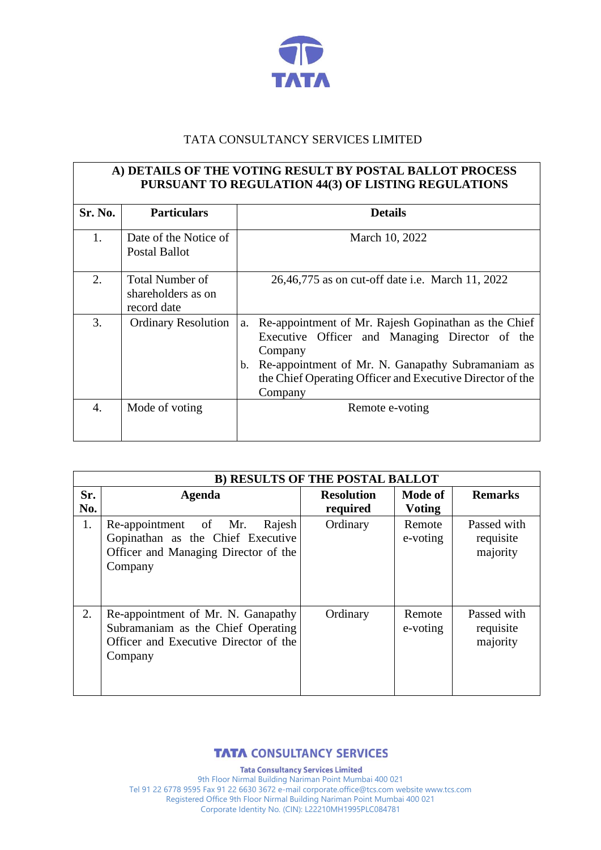

# TATA CONSULTANCY SERVICES LIMITED

# **A) DETAILS OF THE VOTING RESULT BY POSTAL BALLOT PROCESS PURSUANT TO REGULATION 44(3) OF LISTING REGULATIONS**

| Sr. No. | <b>Particulars</b>                                          | <b>Details</b>                                                                                                               |
|---------|-------------------------------------------------------------|------------------------------------------------------------------------------------------------------------------------------|
| 1.      | Date of the Notice of<br>Postal Ballot                      | March 10, 2022                                                                                                               |
| 2.      | <b>Total Number of</b><br>shareholders as on<br>record date | 26,46,775 as on cut-off date i.e. March 11, 2022                                                                             |
| 3.      | <b>Ordinary Resolution</b>                                  | a. Re-appointment of Mr. Rajesh Gopinathan as the Chief<br>Executive Officer and Managing Director of the<br>Company         |
|         |                                                             | b. Re-appointment of Mr. N. Ganapathy Subramaniam as<br>the Chief Operating Officer and Executive Director of the<br>Company |
| 4.      | Mode of voting                                              | Remote e-voting                                                                                                              |

|            | <b>B) RESULTS OF THE POSTAL BALLOT</b>                                                                                       |                               |                          |                                      |  |  |
|------------|------------------------------------------------------------------------------------------------------------------------------|-------------------------------|--------------------------|--------------------------------------|--|--|
| Sr.<br>No. | Agenda                                                                                                                       | <b>Resolution</b><br>required | Mode of<br><b>Voting</b> | <b>Remarks</b>                       |  |  |
| 1.         | Re-appointment of Mr.<br>Rajesh<br>Gopinathan as the Chief Executive<br>Officer and Managing Director of the<br>Company      | Ordinary                      | Remote<br>e-voting       | Passed with<br>requisite<br>majority |  |  |
| 2.         | Re-appointment of Mr. N. Ganapathy<br>Subramaniam as the Chief Operating<br>Officer and Executive Director of the<br>Company | Ordinary                      | Remote<br>e-voting       | Passed with<br>requisite<br>majority |  |  |

**TATA** CONSULTANCY SERVICES

9th Floor Nirmal Building Nariman Point Mumbai 400 021 Tel 91 22 6778 9595 Fax 91 22 6630 3672 e-mail corporate.office@tcs.com website www.tcs.com Registered Office 9th Floor Nirmal Building Nariman Point Mumbai 400 021 Corporate Identity No. (CIN): L22210MH1995PLC084781 Tata Consultancy Services Limited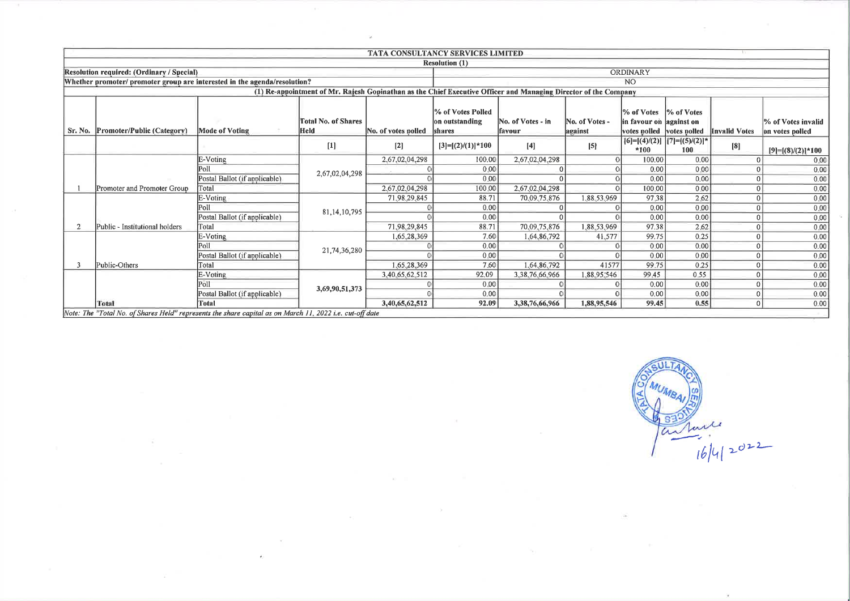|                                                                           |                               |                                                                                                                 | <b>TATA CONSULTANCY SERVICES LIMITED</b> |                                               |                              |                           |                                        |                                            |                                         |                                       |
|---------------------------------------------------------------------------|-------------------------------|-----------------------------------------------------------------------------------------------------------------|------------------------------------------|-----------------------------------------------|------------------------------|---------------------------|----------------------------------------|--------------------------------------------|-----------------------------------------|---------------------------------------|
|                                                                           |                               |                                                                                                                 |                                          | <b>Resolution (1)</b>                         |                              |                           |                                        |                                            |                                         |                                       |
| Resolution required: (Ordinary / Special)                                 |                               |                                                                                                                 |                                          |                                               |                              |                           | <b>ORDINARY</b>                        |                                            |                                         |                                       |
| Whether promoter/ promoter group are interested in the agenda/resolution? |                               |                                                                                                                 |                                          |                                               |                              |                           | N <sub>O</sub>                         |                                            |                                         |                                       |
|                                                                           |                               | (1) Re-appointment of Mr. Rajesh Gopinathan as the Chief Executive Officer and Managing Director of the Company |                                          |                                               |                              |                           |                                        |                                            |                                         |                                       |
| Sr. No. Promoter/Public (Category)                                        | <b>Mode of Voting</b>         | <b>Total No. of Shares</b><br><b>Held</b>                                                                       | No. of votes polled                      | % of Votes Polled<br>on outstanding<br>shares | No. of Votes - in<br>lfavour | No. of Votes -<br>against | % of Votes<br>in favour on lagainst on | <sup>9</sup> % of Votes                    | votes polled votes polled Invalid Votes | % of Votes invalid<br>on votes polled |
|                                                                           |                               | $[1]$                                                                                                           | $\mathbf{[2]}$                           | $[3]=[2]/(1)]*100$                            | $[4]$                        | [5]                       | *100                                   | $[6]=[ (4)/(2)]$ $[7]=[ (5)/(2)]$ *<br>100 | [8]                                     | $[9]=[8)/(2)]*100$                    |
|                                                                           | E-Voting                      |                                                                                                                 | 2,67,02,04,298                           | 100.00                                        | 2,67,02,04,298               |                           | 100.00                                 | 0.00                                       |                                         | 0.00                                  |
|                                                                           | Poll                          | 2,67,02,04,298                                                                                                  |                                          | 0.00                                          |                              |                           | 0.00                                   | 0.00                                       |                                         | 0,00                                  |
|                                                                           | Postal Ballot (if applicable) |                                                                                                                 |                                          | 0.00                                          |                              |                           | 0.00                                   | 0.00                                       |                                         | 0.00                                  |
| Promoter and Promoter Group                                               | Total                         |                                                                                                                 | 2.67.02.04.298                           | 100.00                                        | 2,67,02,04,298               |                           | 100.00                                 | 0.00                                       |                                         | 0.00                                  |
|                                                                           | E-Voting                      |                                                                                                                 | 71,98,29,845                             | 88.71                                         | 70,09,75,876                 | 1.88,53,969               | 97.38                                  | 2.62                                       |                                         | 0.00                                  |
|                                                                           | Poll                          | 81, 14, 10, 795                                                                                                 |                                          | 0.00                                          |                              |                           | 0.00                                   | 0.00                                       |                                         | 0.00                                  |
|                                                                           | Postal Ballot (if applicable) |                                                                                                                 |                                          | 0.00                                          |                              |                           | 0.00                                   | 0.00                                       |                                         | 0,00                                  |
| Public - Institutional holders                                            | Total                         |                                                                                                                 | 71,98,29,845                             | 88.71                                         | 70,09,75,876                 | 1,88,53,969               | 97.38                                  | 2.62                                       |                                         | 0.00                                  |
|                                                                           | E-Voting                      |                                                                                                                 | 1,65,28,369                              | 7.60                                          | 1,64,86,792                  | 41,577                    | 99.75                                  | 0.25                                       |                                         | 0.00                                  |
|                                                                           | Pol1                          | 21,74,36,280                                                                                                    |                                          | 0.00                                          |                              |                           | 0.00                                   | 0.00                                       |                                         | 0.00                                  |
|                                                                           | Postal Ballot (if applicable) |                                                                                                                 |                                          | 0.00                                          |                              |                           | 0.00                                   | 0.00                                       |                                         | 0.00                                  |
| Public-Others                                                             | Total                         |                                                                                                                 | 1,65,28,369                              | 7.60                                          | 1,64,86,792                  | 41577                     | 99.75                                  | 0.25                                       |                                         | 0.00                                  |
|                                                                           | E-Voting                      |                                                                                                                 | 3,40,65,62,512                           | 92.09                                         | 3,38,76,66,966               | 1,88,95,546               | 99.45                                  | 0.55                                       |                                         | 0.00                                  |
|                                                                           | Poll                          | 3,69,90,51,373                                                                                                  |                                          | 0.00                                          |                              |                           | 0.00                                   | 0.00                                       |                                         | 0.00                                  |
|                                                                           | Postal Ballot (if applicable) |                                                                                                                 |                                          | 0.00                                          |                              |                           | 0.00                                   | 0.00                                       |                                         | 0.00                                  |
| Total                                                                     | Total                         |                                                                                                                 | 3,40,65,62,512                           | 92.09                                         | 3,38,76,66,966               | 1,88,95,546               | 99,45                                  | 0.55                                       |                                         | 0.00                                  |

 $\sim$ 

 $\mathbf{v}$ 

 $\mathbf{r}$ 

- 2

**TILE** ANUMBAL 16/4/2022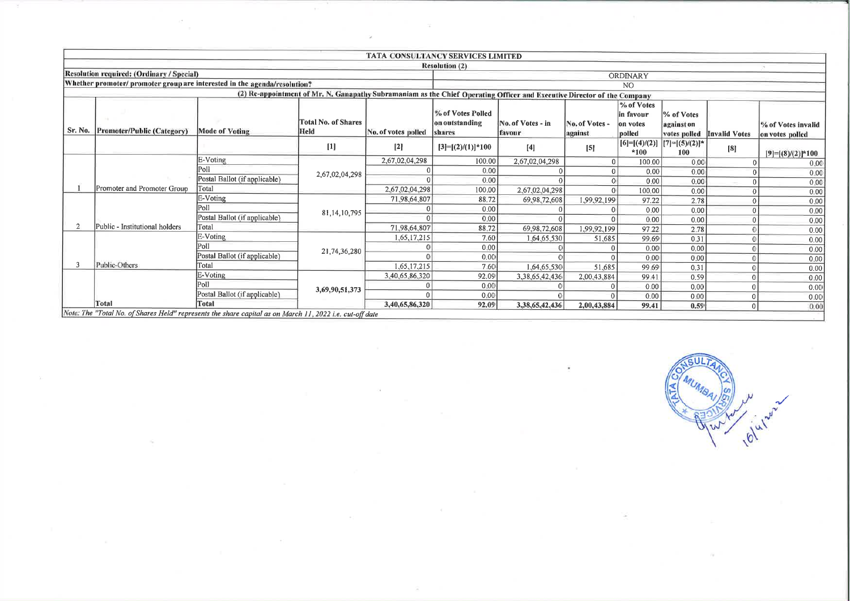|         |                                                                                                                   |                               |                                                                                                                         |                     | TATA CONSULTANCY SERVICES LIMITED             |                             |                         |                                               |                                          |                            |                                       |
|---------|-------------------------------------------------------------------------------------------------------------------|-------------------------------|-------------------------------------------------------------------------------------------------------------------------|---------------------|-----------------------------------------------|-----------------------------|-------------------------|-----------------------------------------------|------------------------------------------|----------------------------|---------------------------------------|
|         |                                                                                                                   |                               |                                                                                                                         |                     | <b>Resolution (2)</b>                         |                             |                         |                                               |                                          |                            |                                       |
|         | Resolution required: (Ordinary / Special)                                                                         |                               |                                                                                                                         |                     |                                               |                             |                         | ORDINARY                                      |                                          |                            |                                       |
|         | Whether promoter/ promoter group are interested in the agenda/resolution?                                         |                               |                                                                                                                         |                     |                                               |                             |                         | N <sub>O</sub>                                |                                          |                            |                                       |
|         |                                                                                                                   |                               | (2) Re-appointment of Mr. N. Ganapathy Subramaniam as the Chief Operating Officer and Executive Director of the Company |                     |                                               |                             |                         |                                               |                                          |                            |                                       |
| Sr. No. | Promoter/Public (Category)                                                                                        | <b>Mode of Voting</b>         | <b>Total No. of Shares</b><br>Held                                                                                      | No. of votes polled | % of Votes Polled<br>on outstanding<br>shares | No. of Votes - in<br>favour | No. of Votes<br>against | % of Votes<br>in favour<br>on votes<br>polled | % of Votes<br>against on                 | votes polled Invalid Votes | % of Votes invalid<br>on votes polled |
|         |                                                                                                                   |                               | $[1]$                                                                                                                   | $[2]$               | $[3]=[2)/(1)]*100$                            | [4]                         | [5]                     | $*100$                                        | $[6]=[(4)/(2)]$ $[7]=[(5)/(2)]$ *<br>100 | [8]                        | $[9]=[8/(2)]*100$                     |
|         |                                                                                                                   | E-Voting                      |                                                                                                                         | 2,67,02,04,298      | 100.00                                        | 2,67,02,04,298              |                         | 100.00                                        | 0.00                                     |                            | 0,00                                  |
|         |                                                                                                                   | Poll                          | 2,67,02,04,298                                                                                                          |                     | 0.00                                          |                             |                         | 0.00                                          | 0.00                                     |                            | 0.00                                  |
|         |                                                                                                                   | Postal Ballot (if applicable) |                                                                                                                         |                     | 0.00                                          |                             |                         | 0.00                                          | 0.00                                     |                            | 0.00                                  |
|         | Promoter and Promoter Group                                                                                       | Total                         |                                                                                                                         | 2,67,02,04,298      | 100.00                                        | 2,67,02,04,298              |                         | 100.00                                        | 0.00                                     |                            | 0.00                                  |
|         |                                                                                                                   | E-Voting                      |                                                                                                                         | 71,98,64,807        | 88.72                                         | 69,98,72,608                | 1,99,92,199             | 97.22                                         | 2.78                                     |                            | 0.00                                  |
|         |                                                                                                                   | Poll                          | 81, 14, 10, 795                                                                                                         |                     | 0.00                                          |                             |                         | 0.00                                          | 0.00                                     |                            | 0.00                                  |
|         |                                                                                                                   | Postal Ballot (if applicable) |                                                                                                                         |                     | 0.00                                          |                             |                         | 0.00                                          | 0.00                                     |                            | 0.00                                  |
|         | Public - Institutional holders                                                                                    | Total                         |                                                                                                                         | 71,98,64,807        | 88.72                                         | 69,98,72,608                | 1,99,92,199             | 97.22                                         | 2.78                                     |                            | 0.00                                  |
|         |                                                                                                                   | E-Voting                      |                                                                                                                         | 1,65,17,215         | 7.60                                          | 1,64,65,530                 | 51,685                  | 99.69                                         | 0.31                                     |                            | 0.00                                  |
|         |                                                                                                                   | Poll                          | 21,74,36,280                                                                                                            |                     | 0.00                                          |                             |                         | 0.00                                          | 0.00                                     |                            | 0.00                                  |
|         |                                                                                                                   | Postal Ballot (if applicable) |                                                                                                                         |                     | 0,00                                          |                             |                         | 0.00                                          | 0.00                                     |                            | 0.00                                  |
|         | Public-Others                                                                                                     | Total                         |                                                                                                                         | 1,65,17,215         | 7.60                                          | 1,64,65,530                 | 51,685                  | 99.69                                         | 0.31                                     |                            | 0.00                                  |
|         |                                                                                                                   | E-Voting                      |                                                                                                                         | 3,40,65,86,320      | 92.09                                         | 3,38,65,42,436              | 2,00,43,884             | 99.41                                         | 0.59                                     |                            | 0.00                                  |
|         |                                                                                                                   | Poll                          | 3,69,90,51,373                                                                                                          |                     | 0.00                                          |                             |                         | 0.00                                          | 0.00                                     |                            | 0.00                                  |
|         |                                                                                                                   | Postal Ballot (if applicable) |                                                                                                                         |                     | 0.00                                          |                             |                         | 0.00                                          | 0.00                                     |                            | 0.00                                  |
|         | Total<br>Note: The "Total No. of Shares Held" represents the share capital as on March 11, 2022 i.e. cut-off date | <b>Total</b>                  |                                                                                                                         | 3,40,65,86,320      | 92.09                                         | 3,38,65,42,436              | 2,00,43,884             | 99.41                                         | 0.59                                     | $\Omega$                   | 0.00                                  |

 $\sim$ 

 $\mathcal{L}$ 

 $\sim$ 

 $SUL$ (MUMBAI) ON olulw-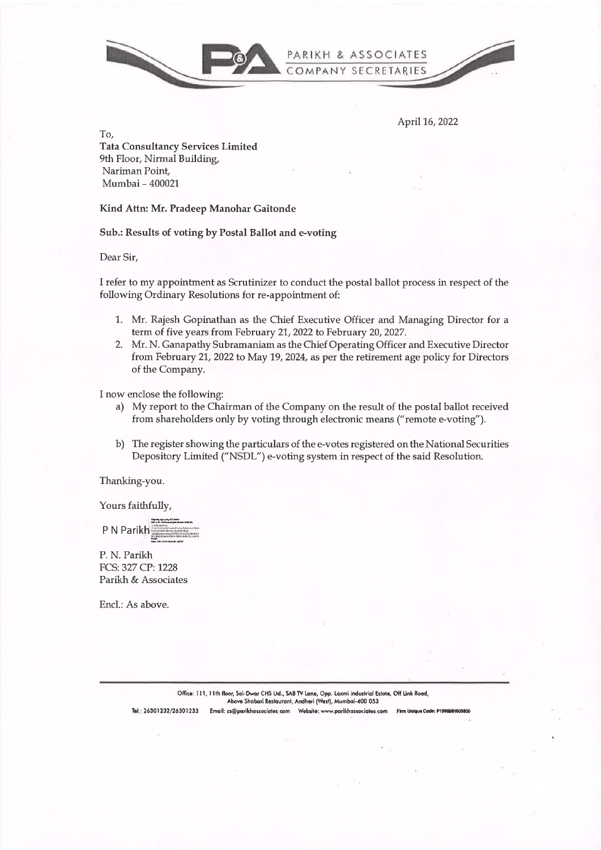

April 16, 2022

To. **Tata Consultancy Services Limited** 9th Floor, Nirmal Building, Nariman Point, Mumbai - 400021

Kind Attn: Mr. Pradeep Manohar Gaitonde

Sub.: Results of voting by Postal Ballot and e-voting

Dear Sir,

I refer to my appointment as Scrutinizer to conduct the postal ballot process in respect of the following Ordinary Resolutions for re-appointment of:

- 1. Mr. Rajesh Gopinathan as the Chief Executive Officer and Managing Director for a term of five years from February 21, 2022 to February 20, 2027.
- 2. Mr. N. Ganapathy Subramaniam as the Chief Operating Officer and Executive Director from February 21, 2022 to May 19, 2024, as per the retirement age policy for Directors of the Company.

I now enclose the following:

- a) My report to the Chairman of the Company on the result of the postal ballot received from shareholders only by voting through electronic means ("remote e-voting").
- b) The register showing the particulars of the e-votes registered on the National Securities Depository Limited ("NSDL") e-voting system in respect of the said Resolution.

Thanking-you.

Yours faithfully,

P N Parikh

P. N. Parikh FCS: 327 CP: 1228 Parikh & Associates

Encl.: As above.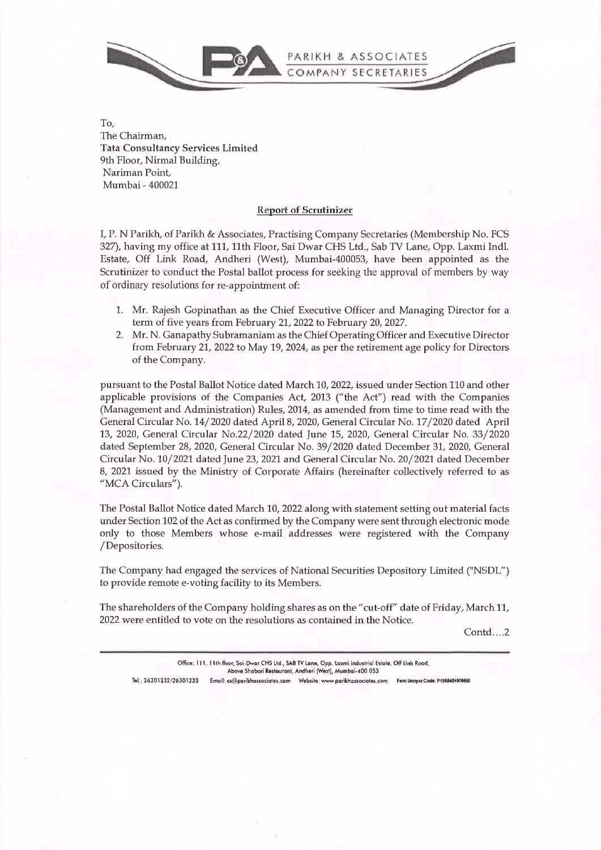

To, The Chairman, Tata Consultancy Services Limited 9th Floor, Nirmal Building, Nariman Point, Mumbai - 400021

### **Report of Scrutinizer**

I, P. N Parikh, of Parikh & Associates, Practising Company Secretaries (Membership No. FCS 327), having my office at 111, 11th Floor, Sai Dwar CHS Ltd., Sab TV Lane, Opp. Laxmi Indl. Estate, Off Link Road, Andheri (West), Mumbai-400053, have been appointed as the Scrutinizer to conduct the Postal ballot process for seeking the approval of members by way of ordinary resolutions for re-appointment of:

- 1. Mr. Rajesh Gopinathan as the Chief Executive Officer and Managing Director for a term of five years from February 21, 2022 to February 20, 2027.
- 2. Mr. N. Ganapathy Subramaniam as the Chief Operating Officer and Executive Director from February 21, 2022 to May 19, 2024, as per the retirement age policy for Directors of the Company.

pursuant to the Postal Ballot Notice dated March 10, 2022, issued under Section 110 and other applicable provisions of the Companies Act, 2013 ("the Act") read with the Companies (Management and Administration) Rules, 2014, as amended from time to time read with the General Circular No. 14/2020 dated April 8, 2020, General Circular No. 17 /2020 dated April 13, 2020, General Circular No.22/2020 dated June 15, 2020, General Circular No. 33/2020 dated September 28, 2020, General Circular No. 39/2020 dated December 31, 2020, General Circular No. 10/2021 dated June 23, 2021 and General Circular No. 20/2021 dated December 8, 2021 issued by the Ministry of Corporate Affairs (hereinafter collectively referred to as "MCA Circulars").

The Postal Ballot Notice dated March 10, 2022 along with statement setting out material facts under Section 102 of the Act as confirmed by the Company were sent through electronic mode only to those Members whose e-mail addresses were registered with the Company / Depositories.

The Company had engaged the services of National Securities Depository Limited ("NSDL") to provide remote e-voting facility to its Members.

The shareholders of the Company holding shares as on the" cut-off" date of Friday, March 11, 2022 were entitled to vote on the resolutions as contained in the Notice.

Contd...2

|                         |                                | Office: 111, 11th floor, Sai-Dwar CHS Ltd., SAB TV Lane, Opp. Laxmi Industrial Estate, Off Link Road, |                                  |
|-------------------------|--------------------------------|-------------------------------------------------------------------------------------------------------|----------------------------------|
|                         |                                | Abava Shabari Restaurant, Andheri (West), Mumbai-400 053                                              |                                  |
| Tel.: 26301232/26301233 | Email: cs@parikhassociates.com | Website: www.parikhassociates.com                                                                     | Firm Unique Code: P1988401009800 |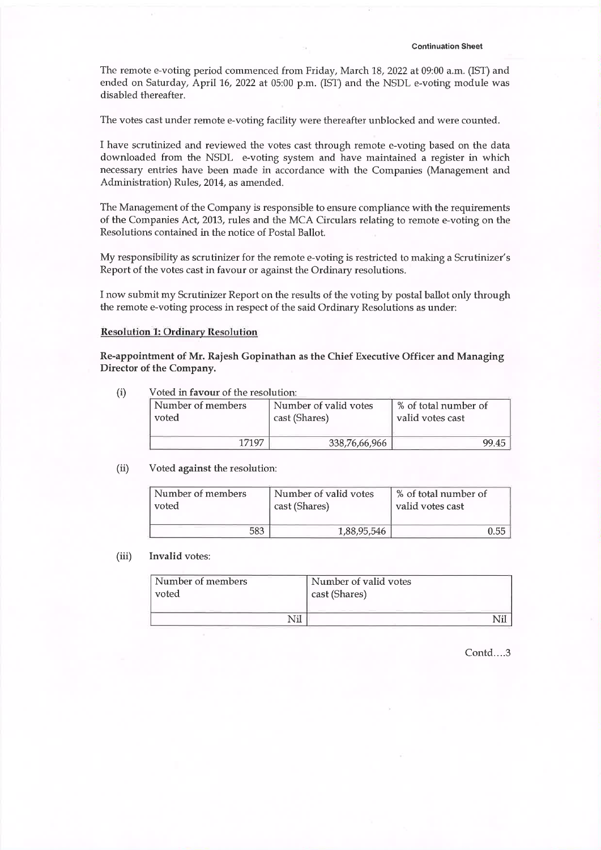The remote e-voting period commenced from Friday, March 18, 2022 at 09:00 a.m. (1ST) and ended on Saturday, April 16, 2022 at 05:00 p.m. (1ST) and the NSDL e-voting module was disabled thereafter.

The votes cast under remote e-voting facility were thereafter unblocked and were counted.

<sup>I</sup>have scrutinized and reviewed the votes cast through remote e-voting based on the data downloaded from the NSDL e-voting system and have maintained a register in which necessary entries have been made in accordance with the Companies (Management and Administration) Rules, 2014, as amended.

The Management of the Company is responsible to ensure compliance with the requirements of the Companies Act, 2013, rules and the MCA Circulars relating to remote e-voting on the Resolutions contained in the notice of Postal Ballot.

My responsibility as scrutinizer for the remote e-voting is restricted to making a Scrutinizer's Report of the votes cast in favour or against the Ordinary resolutions.

<sup>I</sup>now submit my Scrutinizer Report on the results of the voting by postal ballot only through the remote e-voting process in respect of the said Ordinary Resolutions as under:

## Resolution 1: Ordinary Resolution

Re-appointment of Mr. Rajesh Gopinathan as the Chief Executive Officer and Managing Director of the Company.

(i) Voted in **favour** of the resolution:

| Number of members | Number of valid votes | % of total number of |
|-------------------|-----------------------|----------------------|
| voted             | cast (Shares)         | valid votes cast     |
| 17197             | 338,76,66,966         |                      |

### (ii) Voted **against** the resolution:

| Number of members | Number of valid votes | % of total number of |
|-------------------|-----------------------|----------------------|
| voted             | cast (Shares)         | valid votes cast     |
| 583               | 1,88,95,546           | 0.55                 |

### (iii) **Invalid** votes:

| Number of members | Number of valid votes |
|-------------------|-----------------------|
| voted             | cast (Shares)         |
| √il               |                       |

Contd....3